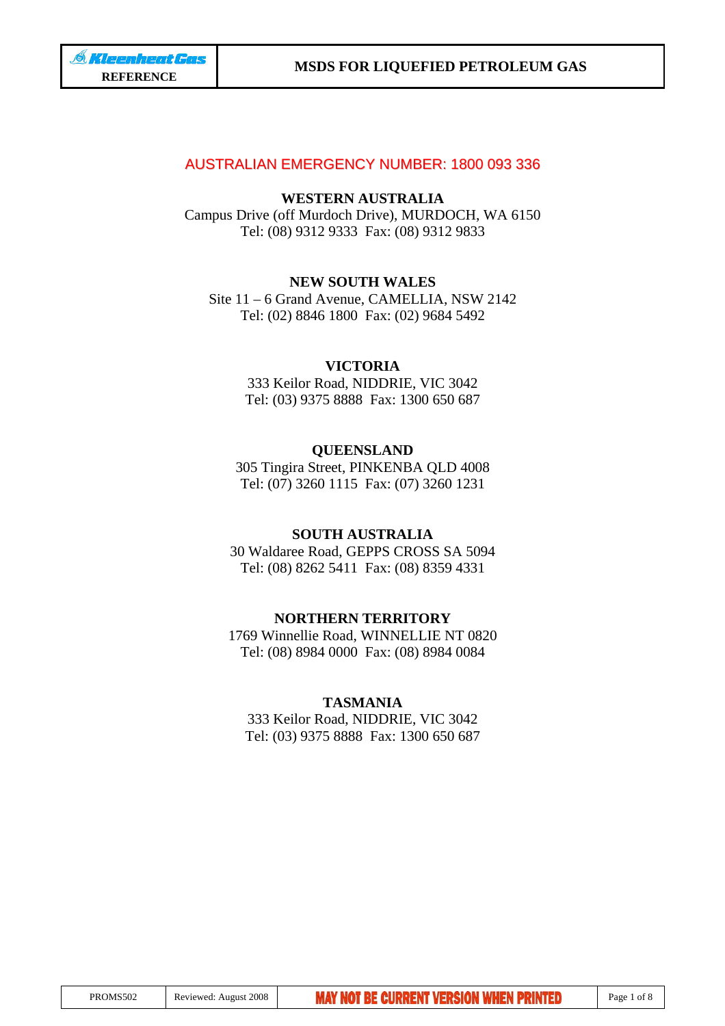## AUSTRALIAN EMERGENCY NUMBER: 1800 093 336

## **WESTERN AUSTRALIA**

Campus Drive (off Murdoch Drive), MURDOCH, WA 6150 Tel: (08) 9312 9333 Fax: (08) 9312 9833

## **NEW SOUTH WALES**

Site 11 – 6 Grand Avenue, CAMELLIA, NSW 2142 Tel: (02) 8846 1800 Fax: (02) 9684 5492

## **VICTORIA**

333 Keilor Road, NIDDRIE, VIC 3042 Tel: (03) 9375 8888 Fax: 1300 650 687

## **QUEENSLAND**

305 Tingira Street, PINKENBA QLD 4008 Tel: (07) 3260 1115 Fax: (07) 3260 1231

## **SOUTH AUSTRALIA**

30 Waldaree Road, GEPPS CROSS SA 5094 Tel: (08) 8262 5411 Fax: (08) 8359 4331

## **NORTHERN TERRITORY**

1769 Winnellie Road, WINNELLIE NT 0820 Tel: (08) 8984 0000 Fax: (08) 8984 0084

## **TASMANIA**

333 Keilor Road, NIDDRIE, VIC 3042 Tel: (03) 9375 8888 Fax: 1300 650 687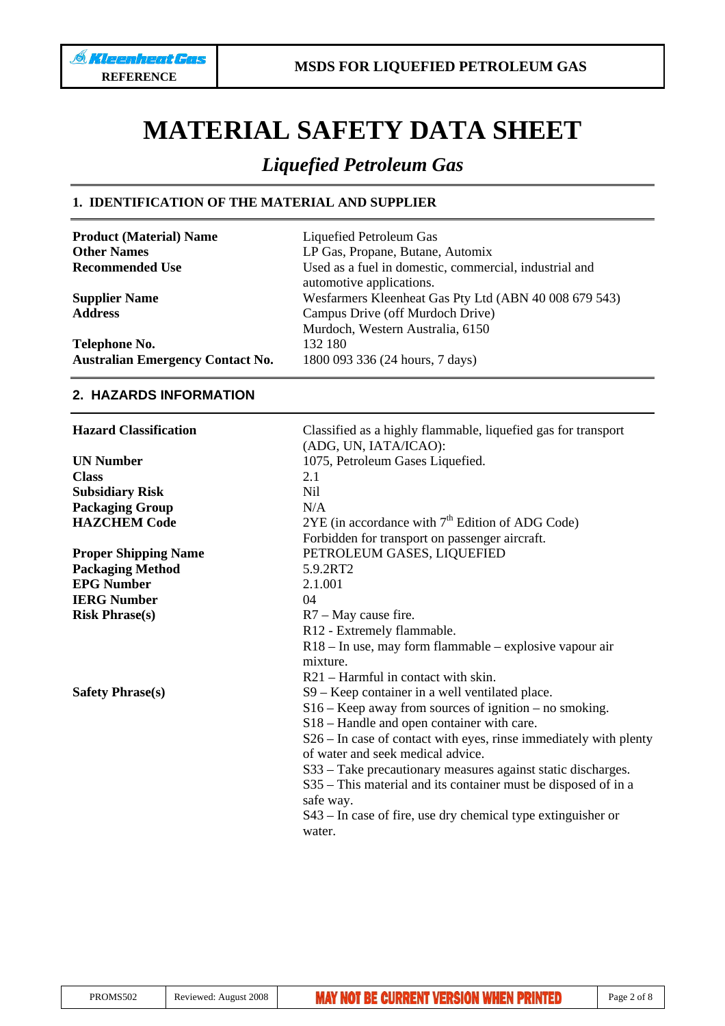# **MATERIAL SAFETY DATA SHEET**

## *Liquefied Petroleum Gas*

automotive applications.

Murdoch, Western Australia, 6150

## **1. IDENTIFICATION OF THE MATERIAL AND SUPPLIER**

**Product (Material) Name** Liquefied Petroleum Gas **Other Names** LP Gas, Propane, Butane, Automix **Recommended Use** Used as a fuel in domestic, commercial, industrial and

**Supplier Name** Wesfarmers Kleenheat Gas Pty Ltd (ABN 40 008 679 543) **Address** Campus Drive (off Murdoch Drive)

**Telephone No.** 132 180 **Australian Emergency Contact No.** 1800 093 336 (24 hours, 7 days)

## **2. HAZARDS INFORMATION**

| <b>Hazard Classification</b> | Classified as a highly flammable, liquefied gas for transport<br>(ADG, UN, IATA/ICAO):                 |
|------------------------------|--------------------------------------------------------------------------------------------------------|
| <b>UN Number</b>             | 1075, Petroleum Gases Liquefied.                                                                       |
| <b>Class</b>                 | 2.1                                                                                                    |
| <b>Subsidiary Risk</b>       | Nil                                                                                                    |
| <b>Packaging Group</b>       | N/A                                                                                                    |
| <b>HAZCHEM Code</b>          | $2YE$ (in accordance with $7th$ Edition of ADG Code)                                                   |
|                              | Forbidden for transport on passenger aircraft.                                                         |
| <b>Proper Shipping Name</b>  | PETROLEUM GASES, LIQUEFIED                                                                             |
| <b>Packaging Method</b>      | 5.9.2RT2                                                                                               |
| <b>EPG Number</b>            | 2.1.001                                                                                                |
| <b>IERG Number</b>           | 04                                                                                                     |
| <b>Risk Phrase(s)</b>        | $R7 - May$ cause fire.                                                                                 |
|                              | R12 - Extremely flammable.                                                                             |
|                              | $R18 - In$ use, may form flammable – explosive vapour air                                              |
|                              | mixture.                                                                                               |
|                              | R21 – Harmful in contact with skin.                                                                    |
| <b>Safety Phrase(s)</b>      | S9 – Keep container in a well ventilated place.                                                        |
|                              | $S16$ – Keep away from sources of ignition – no smoking.                                               |
|                              | S18 – Handle and open container with care.                                                             |
|                              | S26 – In case of contact with eyes, rinse immediately with plenty<br>of water and seek medical advice. |
|                              | S33 – Take precautionary measures against static discharges.                                           |
|                              | S35 – This material and its container must be disposed of in a                                         |
|                              | safe way.                                                                                              |
|                              | S43 – In case of fire, use dry chemical type extinguisher or                                           |
|                              | water.                                                                                                 |
|                              |                                                                                                        |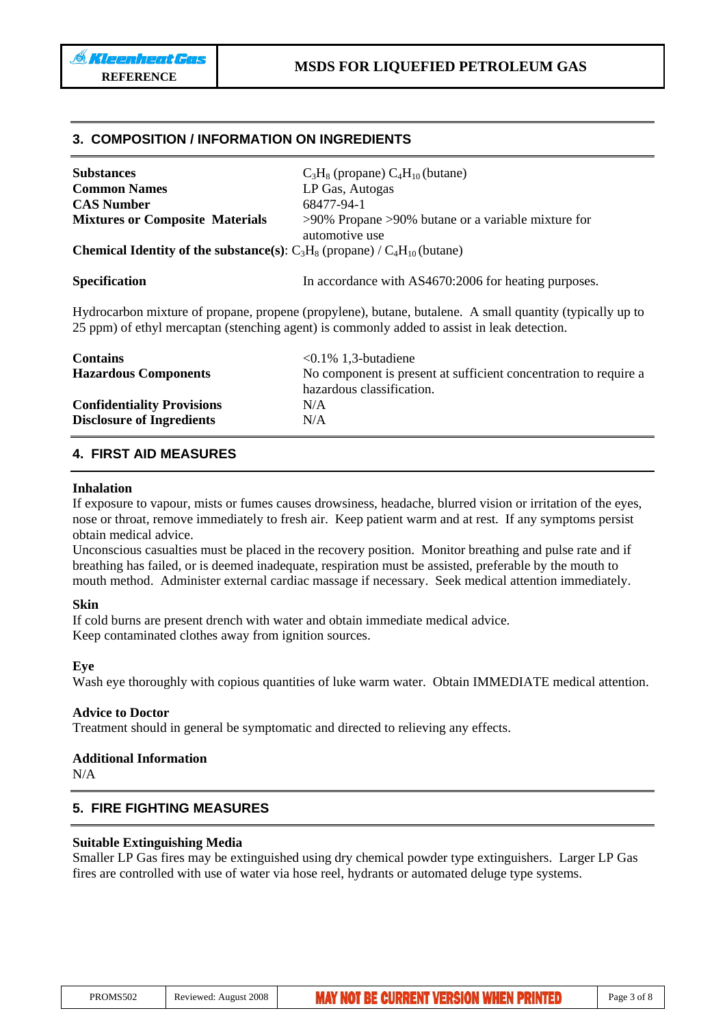## **3. COMPOSITION / INFORMATION ON INGREDIENTS**

| <b>Substances</b>                                                                                                                                                                                       | $C_3H_8$ (propane) $C_4H_{10}$ (butane)                                    |  |
|---------------------------------------------------------------------------------------------------------------------------------------------------------------------------------------------------------|----------------------------------------------------------------------------|--|
| <b>Common Names</b>                                                                                                                                                                                     | LP Gas, Autogas                                                            |  |
| <b>CAS Number</b>                                                                                                                                                                                       | 68477-94-1                                                                 |  |
| <b>Mixtures or Composite Materials</b>                                                                                                                                                                  | $>90\%$ Propane $>90\%$ butane or a variable mixture for<br>automotive use |  |
| <b>Chemical Identity of the substance(s):</b> $C_3H_8$ (propane) / $C_4H_{10}$ (butane)                                                                                                                 |                                                                            |  |
| <b>Specification</b>                                                                                                                                                                                    | In accordance with AS4670:2006 for heating purposes.                       |  |
| Hydrocarbon mixture of propane, propene (propylene), butane, butalene. A small quantity (typically up to<br>25 ppm) of ethyl mercaptan (stenching agent) is commonly added to assist in leak detection. |                                                                            |  |
| <b>Contains</b>                                                                                                                                                                                         | $< 0.1\%$ 1,3-butadiene                                                    |  |
| <b>Hazardous Components</b>                                                                                                                                                                             | No component is present at sufficient concentration to require a           |  |
|                                                                                                                                                                                                         | hazardous classification.                                                  |  |
| <b>Confidentiality Provisions</b>                                                                                                                                                                       | N/A                                                                        |  |
| <b>Disclosure of Ingredients</b>                                                                                                                                                                        | N/A                                                                        |  |

## **4. FIRST AID MEASURES**

#### **Inhalation**

If exposure to vapour, mists or fumes causes drowsiness, headache, blurred vision or irritation of the eyes, nose or throat, remove immediately to fresh air. Keep patient warm and at rest. If any symptoms persist obtain medical advice.

Unconscious casualties must be placed in the recovery position. Monitor breathing and pulse rate and if breathing has failed, or is deemed inadequate, respiration must be assisted, preferable by the mouth to mouth method. Administer external cardiac massage if necessary. Seek medical attention immediately.

#### **Skin**

If cold burns are present drench with water and obtain immediate medical advice. Keep contaminated clothes away from ignition sources.

#### **Eye**

Wash eye thoroughly with copious quantities of luke warm water. Obtain IMMEDIATE medical attention.

## **Advice to Doctor**

Treatment should in general be symptomatic and directed to relieving any effects.

## **Additional Information**

N/A

## **5. FIRE FIGHTING MEASURES**

#### **Suitable Extinguishing Media**

Smaller LP Gas fires may be extinguished using dry chemical powder type extinguishers. Larger LP Gas fires are controlled with use of water via hose reel, hydrants or automated deluge type systems.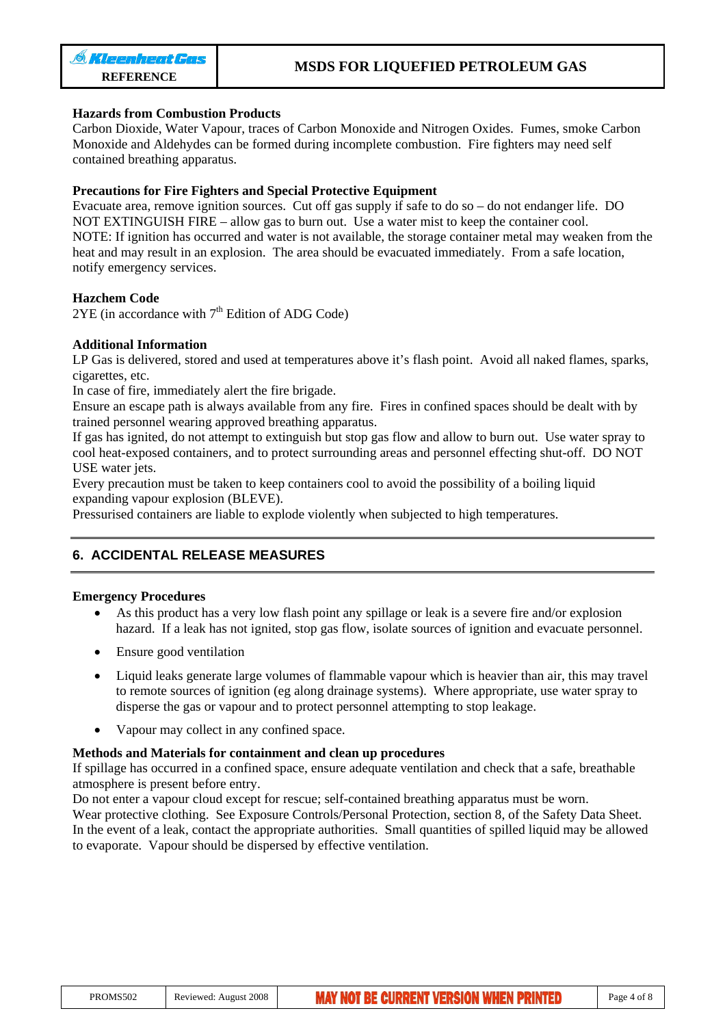## **Hazards from Combustion Products**

Carbon Dioxide, Water Vapour, traces of Carbon Monoxide and Nitrogen Oxides. Fumes, smoke Carbon Monoxide and Aldehydes can be formed during incomplete combustion. Fire fighters may need self contained breathing apparatus.

## **Precautions for Fire Fighters and Special Protective Equipment**

Evacuate area, remove ignition sources. Cut off gas supply if safe to do so – do not endanger life. DO NOT EXTINGUISH FIRE – allow gas to burn out. Use a water mist to keep the container cool. NOTE: If ignition has occurred and water is not available, the storage container metal may weaken from the heat and may result in an explosion. The area should be evacuated immediately. From a safe location, notify emergency services.

## **Hazchem Code**

 $2YE$  (in accordance with  $7<sup>th</sup>$  Edition of ADG Code)

## **Additional Information**

LP Gas is delivered, stored and used at temperatures above it's flash point. Avoid all naked flames, sparks, cigarettes, etc.

In case of fire, immediately alert the fire brigade.

Ensure an escape path is always available from any fire. Fires in confined spaces should be dealt with by trained personnel wearing approved breathing apparatus.

If gas has ignited, do not attempt to extinguish but stop gas flow and allow to burn out. Use water spray to cool heat-exposed containers, and to protect surrounding areas and personnel effecting shut-off. DO NOT USE water jets.

Every precaution must be taken to keep containers cool to avoid the possibility of a boiling liquid expanding vapour explosion (BLEVE).

Pressurised containers are liable to explode violently when subjected to high temperatures.

## **6. ACCIDENTAL RELEASE MEASURES**

## **Emergency Procedures**

- As this product has a very low flash point any spillage or leak is a severe fire and/or explosion hazard. If a leak has not ignited, stop gas flow, isolate sources of ignition and evacuate personnel.
- Ensure good ventilation
- Liquid leaks generate large volumes of flammable vapour which is heavier than air, this may travel to remote sources of ignition (eg along drainage systems). Where appropriate, use water spray to disperse the gas or vapour and to protect personnel attempting to stop leakage.
- Vapour may collect in any confined space.

## **Methods and Materials for containment and clean up procedures**

If spillage has occurred in a confined space, ensure adequate ventilation and check that a safe, breathable atmosphere is present before entry.

Do not enter a vapour cloud except for rescue; self-contained breathing apparatus must be worn. Wear protective clothing. See Exposure Controls/Personal Protection, section 8, of the Safety Data Sheet. In the event of a leak, contact the appropriate authorities. Small quantities of spilled liquid may be allowed to evaporate. Vapour should be dispersed by effective ventilation.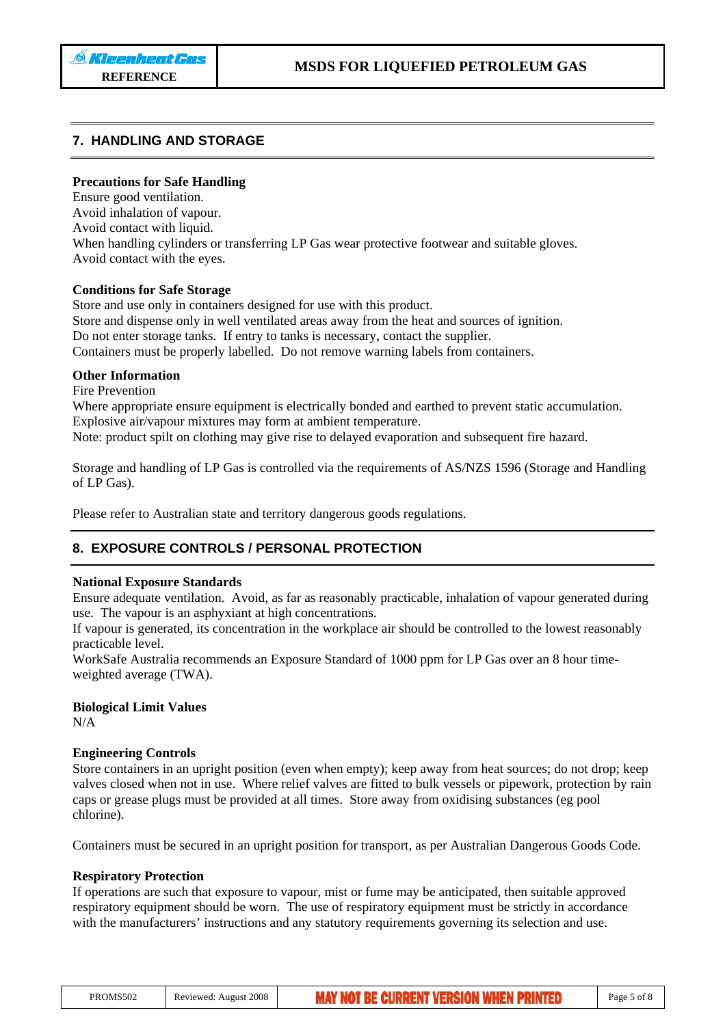## **7. HANDLING AND STORAGE**

#### **Precautions for Safe Handling**

Ensure good ventilation. Avoid inhalation of vapour. Avoid contact with liquid. When handling cylinders or transferring LP Gas wear protective footwear and suitable gloves. Avoid contact with the eyes.

#### **Conditions for Safe Storage**

Store and use only in containers designed for use with this product. Store and dispense only in well ventilated areas away from the heat and sources of ignition. Do not enter storage tanks. If entry to tanks is necessary, contact the supplier. Containers must be properly labelled. Do not remove warning labels from containers.

#### **Other Information**

Fire Prevention

Where appropriate ensure equipment is electrically bonded and earthed to prevent static accumulation. Explosive air/vapour mixtures may form at ambient temperature. Note: product spilt on clothing may give rise to delayed evaporation and subsequent fire hazard.

Storage and handling of LP Gas is controlled via the requirements of AS/NZS 1596 (Storage and Handling of LP Gas).

Please refer to Australian state and territory dangerous goods regulations.

## **8. EXPOSURE CONTROLS / PERSONAL PROTECTION**

#### **National Exposure Standards**

Ensure adequate ventilation. Avoid, as far as reasonably practicable, inhalation of vapour generated during use. The vapour is an asphyxiant at high concentrations.

If vapour is generated, its concentration in the workplace air should be controlled to the lowest reasonably practicable level.

WorkSafe Australia recommends an Exposure Standard of 1000 ppm for LP Gas over an 8 hour timeweighted average (TWA).

## **Biological Limit Values**

N/A

#### **Engineering Controls**

Store containers in an upright position (even when empty); keep away from heat sources; do not drop; keep valves closed when not in use. Where relief valves are fitted to bulk vessels or pipework, protection by rain caps or grease plugs must be provided at all times. Store away from oxidising substances (eg pool chlorine).

Containers must be secured in an upright position for transport, as per Australian Dangerous Goods Code.

## **Respiratory Protection**

If operations are such that exposure to vapour, mist or fume may be anticipated, then suitable approved respiratory equipment should be worn. The use of respiratory equipment must be strictly in accordance with the manufacturers' instructions and any statutory requirements governing its selection and use.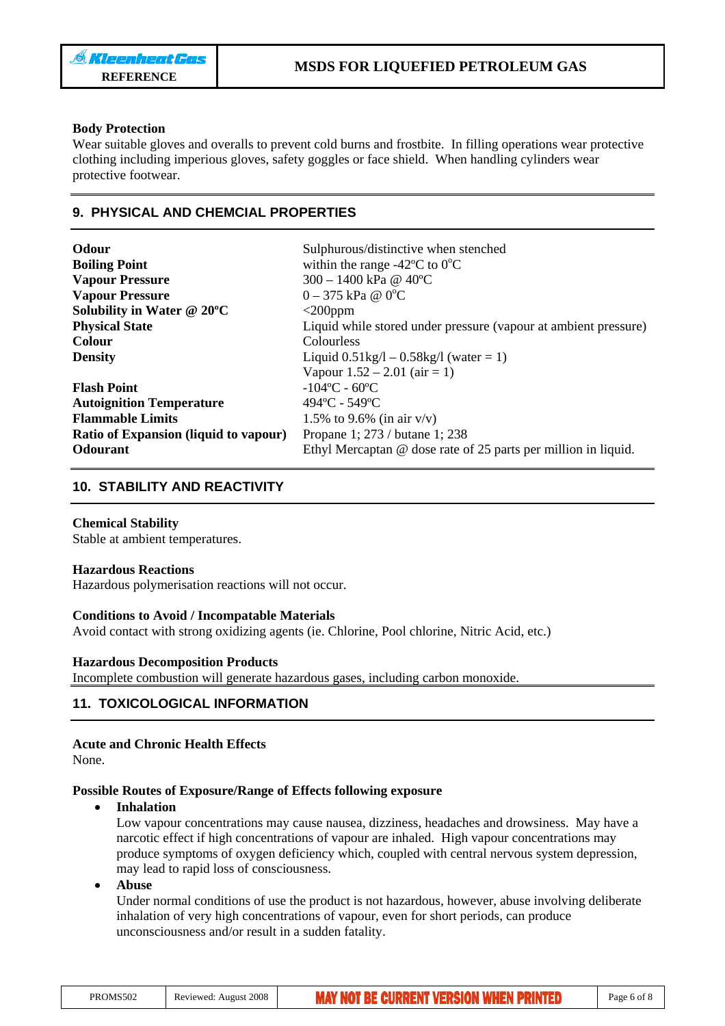## **Body Protection**

Wear suitable gloves and overalls to prevent cold burns and frostbite. In filling operations wear protective clothing including imperious gloves, safety goggles or face shield. When handling cylinders wear protective footwear.

## **9. PHYSICAL AND CHEMCIAL PROPERTIES**

| Odour                                        | Sulphurous/distinctive when stenched                            |
|----------------------------------------------|-----------------------------------------------------------------|
| <b>Boiling Point</b>                         | within the range -42 $\rm{^{\circ}C}$ to $\rm{0^{\circ}C}$      |
| <b>Vapour Pressure</b>                       | 300 - 1400 kPa @ 40°C                                           |
| <b>Vapour Pressure</b>                       | $0 - 375$ kPa @ $0^{\circ}$ C                                   |
| Solubility in Water @ 20°C                   | $<$ 200 $ppm$                                                   |
| <b>Physical State</b>                        | Liquid while stored under pressure (vapour at ambient pressure) |
| <b>Colour</b>                                | Colourless                                                      |
| <b>Density</b>                               | Liquid $0.51\text{kg}/1 - 0.58\text{kg}/1$ (water = 1)          |
|                                              | Vapour $1.52 - 2.01$ (air = 1)                                  |
| <b>Flash Point</b>                           | $-104$ °C - 60°C                                                |
| <b>Autoignition Temperature</b>              | $494$ °C - 549°C                                                |
| <b>Flammable Limits</b>                      | 1.5% to 9.6% (in air $v/v$ )                                    |
| <b>Ratio of Expansion (liquid to vapour)</b> | Propane 1; 273 / butane 1; 238                                  |
| <b>Odourant</b>                              | Ethyl Mercaptan @ dose rate of 25 parts per million in liquid.  |

## **10. STABILITY AND REACTIVITY**

## **Chemical Stability**

Stable at ambient temperatures.

## **Hazardous Reactions**

Hazardous polymerisation reactions will not occur.

## **Conditions to Avoid / Incompatable Materials**

Avoid contact with strong oxidizing agents (ie. Chlorine, Pool chlorine, Nitric Acid, etc.)

## **Hazardous Decomposition Products**

Incomplete combustion will generate hazardous gases, including carbon monoxide.

## **11. TOXICOLOGICAL INFORMATION**

## **Acute and Chronic Health Effects**

None.

## **Possible Routes of Exposure/Range of Effects following exposure**

## • **Inhalation**

Low vapour concentrations may cause nausea, dizziness, headaches and drowsiness. May have a narcotic effect if high concentrations of vapour are inhaled. High vapour concentrations may produce symptoms of oxygen deficiency which, coupled with central nervous system depression, may lead to rapid loss of consciousness.

## • **Abuse**

Under normal conditions of use the product is not hazardous, however, abuse involving deliberate inhalation of very high concentrations of vapour, even for short periods, can produce unconsciousness and/or result in a sudden fatality.

| PROMS502<br>Reviewed: August 2008 | <b>MAY NOT BE CURRENT VERSION WHEN PRINTED</b> | Page 6 of 8 |
|-----------------------------------|------------------------------------------------|-------------|
|-----------------------------------|------------------------------------------------|-------------|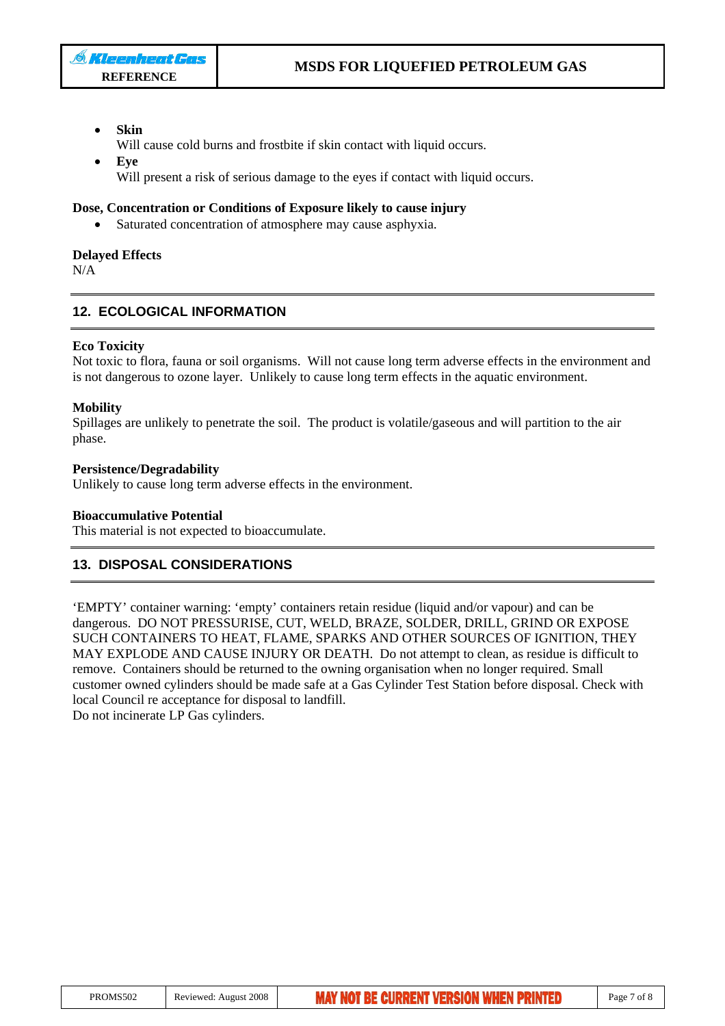- **Skin**
- Will cause cold burns and frostbite if skin contact with liquid occurs.
- **Eye** Will present a risk of serious damage to the eyes if contact with liquid occurs.

#### **Dose, Concentration or Conditions of Exposure likely to cause injury**

Saturated concentration of atmosphere may cause asphyxia.

#### **Delayed Effects**

N/A

## **12. ECOLOGICAL INFORMATION**

#### **Eco Toxicity**

Not toxic to flora, fauna or soil organisms. Will not cause long term adverse effects in the environment and is not dangerous to ozone layer. Unlikely to cause long term effects in the aquatic environment.

#### **Mobility**

Spillages are unlikely to penetrate the soil. The product is volatile/gaseous and will partition to the air phase.

#### **Persistence/Degradability**

Unlikely to cause long term adverse effects in the environment.

#### **Bioaccumulative Potential**

This material is not expected to bioaccumulate.

## **13. DISPOSAL CONSIDERATIONS**

'EMPTY' container warning: 'empty' containers retain residue (liquid and/or vapour) and can be dangerous. DO NOT PRESSURISE, CUT, WELD, BRAZE, SOLDER, DRILL, GRIND OR EXPOSE SUCH CONTAINERS TO HEAT, FLAME, SPARKS AND OTHER SOURCES OF IGNITION, THEY MAY EXPLODE AND CAUSE INJURY OR DEATH. Do not attempt to clean, as residue is difficult to remove. Containers should be returned to the owning organisation when no longer required. Small customer owned cylinders should be made safe at a Gas Cylinder Test Station before disposal. Check with local Council re acceptance for disposal to landfill.

Do not incinerate LP Gas cylinders.